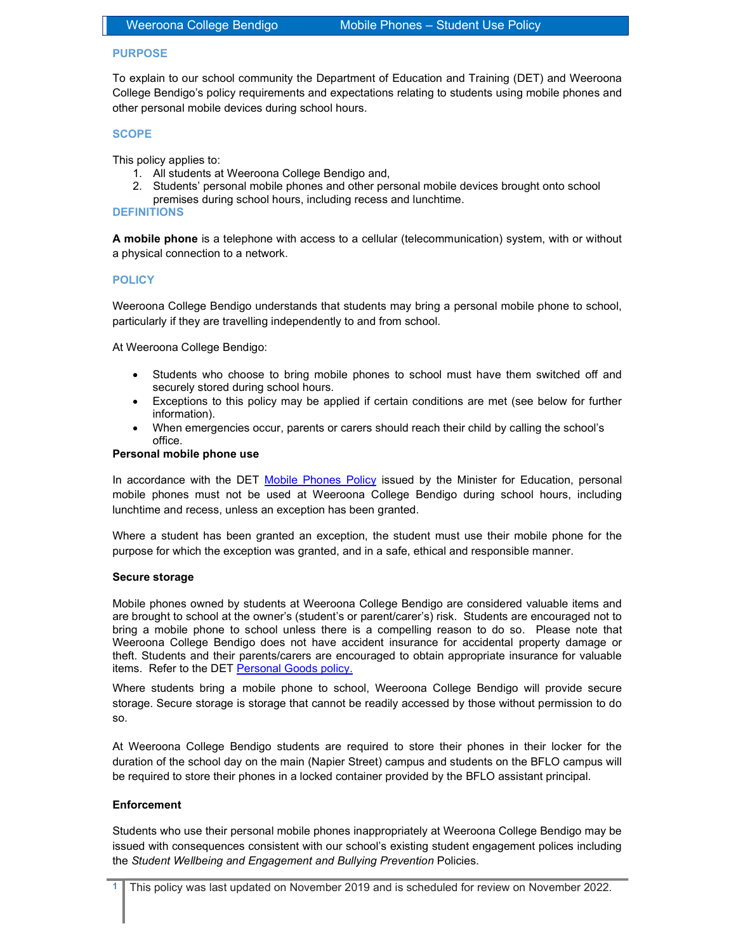## PURPOSE

To explain to our school community the Department of Education and Training (DET) and Weeroona College Bendigo's policy requirements and expectations relating to students using mobile phones and other personal mobile devices during school hours.

## **SCOPE**

This policy applies to:

- 1. All students at Weeroona College Bendigo and,
- 2. Students' personal mobile phones and other personal mobile devices brought onto school
- premises during school hours, including recess and lunchtime.

## DEFINITIONS

A mobile phone is a telephone with access to a cellular (telecommunication) system, with or without a physical connection to a network.

## **POLICY**

Weeroona College Bendigo understands that students may bring a personal mobile phone to school, particularly if they are travelling independently to and from school.

At Weeroona College Bendigo:

- Students who choose to bring mobile phones to school must have them switched off and securely stored during school hours.
- Exceptions to this policy may be applied if certain conditions are met (see below for further information).
- When emergencies occur, parents or carers should reach their child by calling the school's office.

### Personal mobile phone use

In accordance with the DET Mobile Phones Policy issued by the Minister for Education, personal mobile phones must not be used at Weeroona College Bendigo during school hours, including lunchtime and recess, unless an exception has been granted.

Where a student has been granted an exception, the student must use their mobile phone for the purpose for which the exception was granted, and in a safe, ethical and responsible manner.

## Secure storage

Mobile phones owned by students at Weeroona College Bendigo are considered valuable items and are brought to school at the owner's (student's or parent/carer's) risk. Students are encouraged not to bring a mobile phone to school unless there is a compelling reason to do so. Please note that Weeroona College Bendigo does not have accident insurance for accidental property damage or theft. Students and their parents/carers are encouraged to obtain appropriate insurance for valuable items. Refer to the DET Personal Goods policy.

Where students bring a mobile phone to school, Weeroona College Bendigo will provide secure storage. Secure storage is storage that cannot be readily accessed by those without permission to do so.

At Weeroona College Bendigo students are required to store their phones in their locker for the duration of the school day on the main (Napier Street) campus and students on the BFLO campus will be required to store their phones in a locked container provided by the BFLO assistant principal.

## **Enforcement**

Students who use their personal mobile phones inappropriately at Weeroona College Bendigo may be issued with consequences consistent with our school's existing student engagement polices including the Student Wellbeing and Engagement and Bullying Prevention Policies.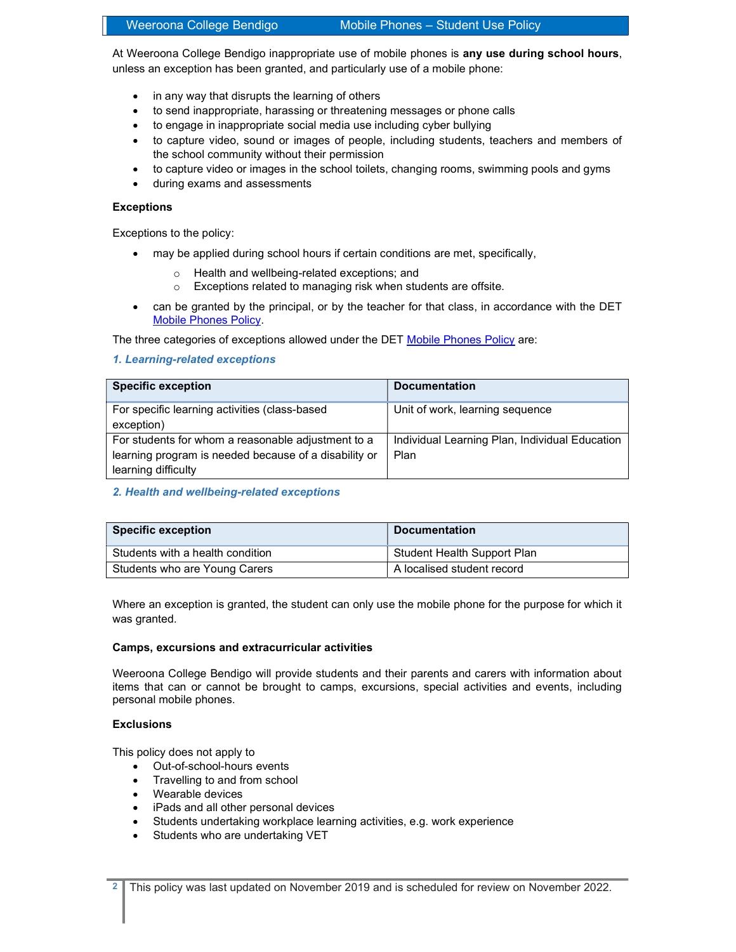# Weeroona College Bendigo Mobile Phones – Student Use Policy

At Weeroona College Bendigo inappropriate use of mobile phones is any use during school hours, unless an exception has been granted, and particularly use of a mobile phone:

- in any way that disrupts the learning of others
- to send inappropriate, harassing or threatening messages or phone calls
- to engage in inappropriate social media use including cyber bullying
- to capture video, sound or images of people, including students, teachers and members of the school community without their permission
- to capture video or images in the school toilets, changing rooms, swimming pools and gyms
- during exams and assessments

## **Exceptions**

Exceptions to the policy:

- may be applied during school hours if certain conditions are met, specifically,
	- o Health and wellbeing-related exceptions; and
	- o Exceptions related to managing risk when students are offsite.
- can be granted by the principal, or by the teacher for that class, in accordance with the DET Mobile Phones Policy.

The three categories of exceptions allowed under the DET Mobile Phones Policy are:

## 1. Learning-related exceptions

| <b>Specific exception</b>                                                                                   | <b>Documentation</b>                                   |
|-------------------------------------------------------------------------------------------------------------|--------------------------------------------------------|
| For specific learning activities (class-based<br>exception)                                                 | Unit of work, learning sequence                        |
| For students for whom a reasonable adjustment to a<br>learning program is needed because of a disability or | Individual Learning Plan, Individual Education<br>Plan |
| learning difficulty                                                                                         |                                                        |

2. Health and wellbeing-related exceptions

| <b>Specific exception</b>        | <b>Documentation</b>        |
|----------------------------------|-----------------------------|
| Students with a health condition | Student Health Support Plan |
| Students who are Young Carers    | A localised student record  |

Where an exception is granted, the student can only use the mobile phone for the purpose for which it was granted.

## Camps, excursions and extracurricular activities

Weeroona College Bendigo will provide students and their parents and carers with information about items that can or cannot be brought to camps, excursions, special activities and events, including personal mobile phones.

## Exclusions

This policy does not apply to

- Out-of-school-hours events
- Travelling to and from school
- Wearable devices
- iPads and all other personal devices
- Students undertaking workplace learning activities, e.g. work experience
- Students who are undertaking VET